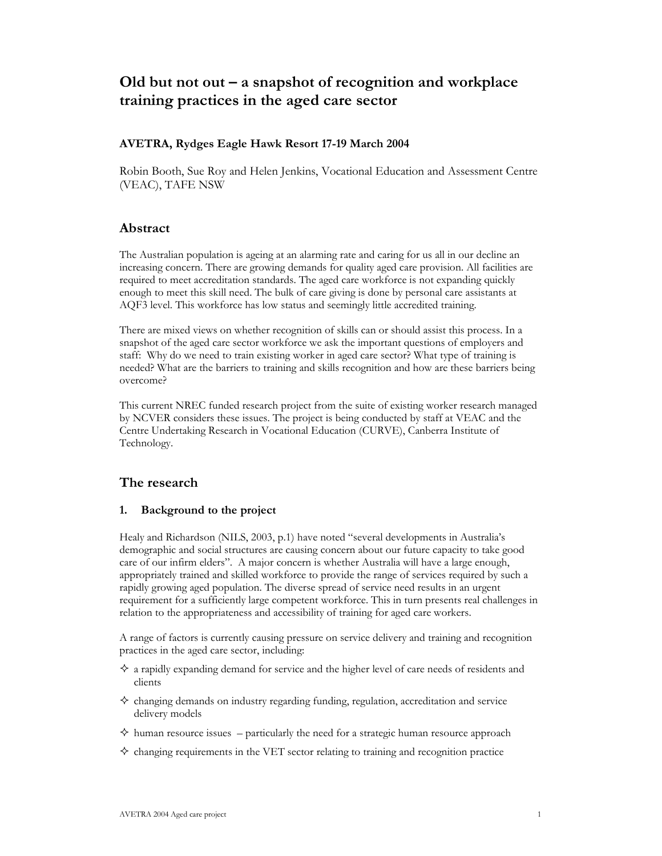# Old but not out  $-a$  snapshot of recognition and workplace training practices in the aged care sector

# **AVETRA, Rydges Eagle Hawk Resort 17-19 March 2004**

Robin Booth, Sue Roy and Helen Jenkins, Vocational Education and Assessment Centre (VEAC), TAFE NSW

# Abstract

The Australian population is ageing at an alarming rate and caring for us all in our decline an increasing concern. There are growing demands for quality aged care provision. All facilities are required to meet accreditation standards. The aged care workforce is not expanding quickly enough to meet this skill need. The bulk of care giving is done by personal care assistants at AQF3 level. This workforce has low status and seemingly little accredited training.

There are mixed views on whether recognition of skills can or should assist this process. In a snapshot of the aged care sector workforce we ask the important questions of employers and staff: Why do we need to train existing worker in aged care sector? What type of training is needed? What are the barriers to training and skills recognition and how are these barriers being overcome?

This current NREC funded research project from the suite of existing worker research managed by NCVER considers these issues. The project is being conducted by staff at VEAC and the Centre Undertaking Research in Vocational Education (CURVE), Canberra Institute of Technology.

# The research

#### 1. Background to the project

Healy and Richardson (NILS, 2003, p.1) have noted "several developments in Australia's demographic and social structures are causing concern about our future capacity to take good care of our infirm elders". A major concern is whether Australia will have a large enough, appropriately trained and skilled workforce to provide the range of services required by such a rapidly growing aged population. The diverse spread of service need results in an urgent requirement for a sufficiently large competent workforce. This in turn presents real challenges in relation to the appropriateness and accessibility of training for aged care workers.

A range of factors is currently causing pressure on service delivery and training and recognition practices in the aged care sector, including:

- $\diamondsuit$  a rapidly expanding demand for service and the higher level of care needs of residents and clients
- $\diamondsuit$  changing demands on industry regarding funding, regulation, accreditation and service delivery models
- $\diamondsuit$  human resource issues particularly the need for a strategic human resource approach
- $\diamond$  changing requirements in the VET sector relating to training and recognition practice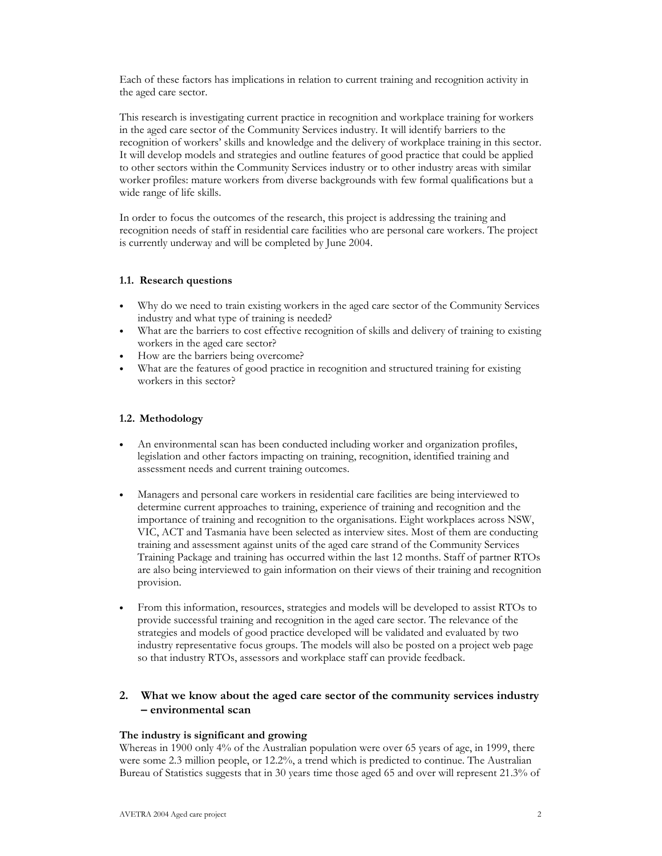Each of these factors has implications in relation to current training and recognition activity in the aged care sector.

This research is investigating current practice in recognition and workplace training for workers in the aged care sector of the Community Services industry. It will identify barriers to the recognition of workers' skills and knowledge and the delivery of workplace training in this sector. It will develop models and strategies and outline features of good practice that could be applied to other sectors within the Community Services industry or to other industry areas with similar worker profiles: mature workers from diverse backgrounds with few formal qualifications but a wide range of life skills.

In order to focus the outcomes of the research, this project is addressing the training and recognition needs of staff in residential care facilities who are personal care workers. The project is currently underway and will be completed by June 2004.

# 1.1. Research questions

- Why do we need to train existing workers in the aged care sector of the Community Services  $\bullet$ industry and what type of training is needed?
- What are the barriers to cost effective recognition of skills and delivery of training to existing workers in the aged care sector?
- How are the barriers being overcome?
- What are the features of good practice in recognition and structured training for existing workers in this sector?

# 1.2. Methodology

- An environmental scan has been conducted including worker and organization profiles,  $\bullet$ legislation and other factors impacting on training, recognition, identified training and assessment needs and current training outcomes.
- Managers and personal care workers in residential care facilities are being interviewed to  $\bullet$ determine current approaches to training, experience of training and recognition and the importance of training and recognition to the organisations. Eight workplaces across NSW, VIC, ACT and Tasmania have been selected as interview sites. Most of them are conducting training and assessment against units of the aged care strand of the Community Services Training Package and training has occurred within the last 12 months. Staff of partner RTOs are also being interviewed to gain information on their views of their training and recognition provision.
- From this information, resources, strategies and models will be developed to assist RTOs to  $\bullet$ provide successful training and recognition in the aged care sector. The relevance of the strategies and models of good practice developed will be validated and evaluated by two industry representative focus groups. The models will also be posted on a project web page so that industry RTOs, assessors and workplace staff can provide feedback.

# 2. What we know about the aged care sector of the community services industry - environmental scan

#### The industry is significant and growing

Whereas in 1900 only 4% of the Australian population were over 65 years of age, in 1999, there were some 2.3 million people, or 12.2%, a trend which is predicted to continue. The Australian Bureau of Statistics suggests that in 30 years time those aged 65 and over will represent 21.3% of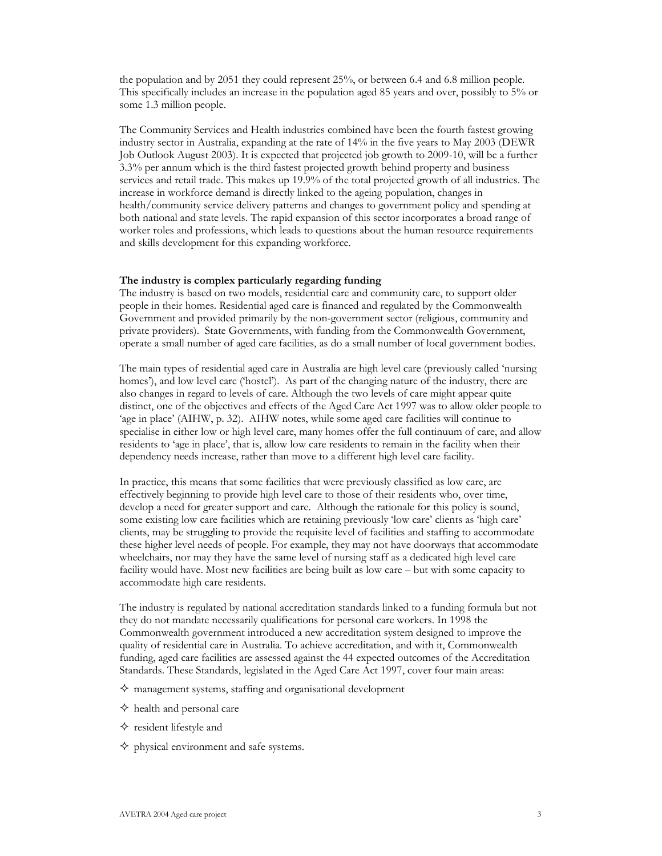the population and by 2051 they could represent  $25\%$ , or between 6.4 and 6.8 million people. This specifically includes an increase in the population aged 85 years and over, possibly to 5% or some 1.3 million people.

The Community Services and Health industries combined have been the fourth fastest growing industry sector in Australia, expanding at the rate of 14% in the five years to May 2003 (DEWR) Job Outlook August 2003). It is expected that projected job growth to 2009-10, will be a further  $3.3\%$  per annum which is the third fastest projected growth behind property and business services and retail trade. This makes up 19.9% of the total projected growth of all industries. The increase in workforce demand is directly linked to the ageing population, changes in health/community service delivery patterns and changes to government policy and spending at both national and state levels. The rapid expansion of this sector incorporates a broad range of worker roles and professions, which leads to questions about the human resource requirements and skills development for this expanding workforce.

#### The industry is complex particularly regarding funding

The industry is based on two models, residential care and community care, to support older people in their homes. Residential aged care is financed and regulated by the Commonwealth Government and provided primarily by the non-government sector (religious, community and private providers). State Governments, with funding from the Commonwealth Government, operate a small number of aged care facilities, as do a small number of local government bodies.

The main types of residential aged care in Australia are high level care (previously called 'nursing homes'), and low level care ('hostel'). As part of the changing nature of the industry, there are also changes in regard to levels of care. Although the two levels of care might appear quite distinct, one of the objectives and effects of the Aged Care Act 1997 was to allow older people to 'age in place' (AIHW, p. 32). AIHW notes, while some aged care facilities will continue to specialise in either low or high level care, many homes offer the full continuum of care, and allow residents to 'age in place', that is, allow low care residents to remain in the facility when their dependency needs increase, rather than move to a different high level care facility.

In practice, this means that some facilities that were previously classified as low care, are effectively beginning to provide high level care to those of their residents who, over time, develop a need for greater support and care. Although the rationale for this policy is sound, some existing low care facilities which are retaining previously 'low care' clients as 'high care' clients, may be struggling to provide the requisite level of facilities and staffing to accommodate these higher level needs of people. For example, they may not have doorways that accommodate wheelchairs, nor may they have the same level of nursing staff as a dedicated high level care facility would have. Most new facilities are being built as low care – but with some capacity to accommodate high care residents.

The industry is regulated by national accreditation standards linked to a funding formula but not they do not mandate necessarily qualifications for personal care workers. In 1998 the Commonwealth government introduced a new accreditation system designed to improve the quality of residential care in Australia. To achieve accreditation, and with it, Commonwealth funding, aged care facilities are assessed against the 44 expected outcomes of the Accreditation Standards. These Standards, legislated in the Aged Care Act 1997, cover four main areas:

- $\diamond$  management systems, staffing and organisational development
- $\diamond$  health and personal care
- $\diamond$  resident lifestyle and
- $\diamond$  physical environment and safe systems.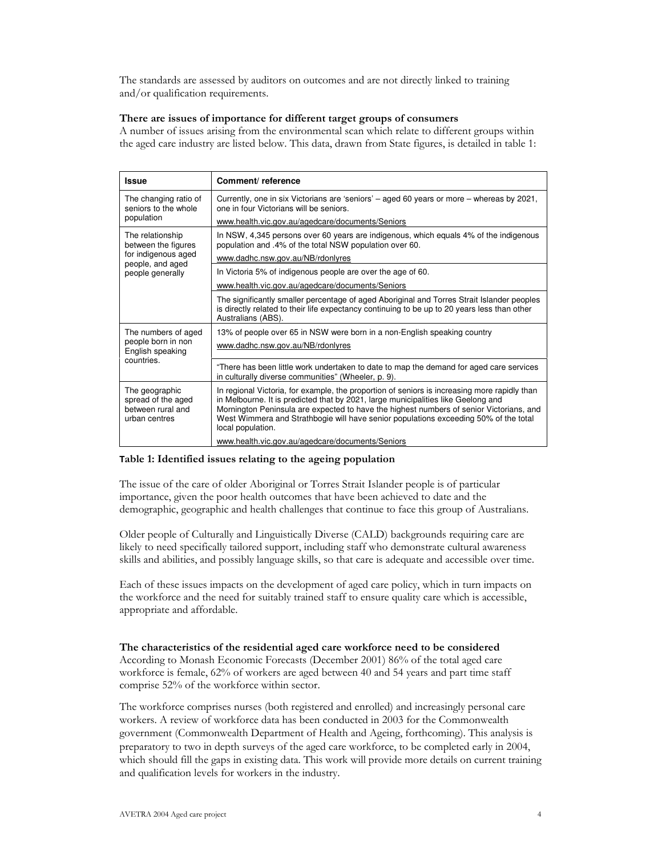The standards are assessed by auditors on outcomes and are not directly linked to training and/or qualification requirements.

# There are issues of importance for different target groups of consumers

A number of issues arising from the environmental scan which relate to different groups within the aged care industry are listed below. This data, drawn from State figures, is detailed in table 1:

| <b>Issue</b>                                                                                           | Comment/reference                                                                                                                                                                                                                                                                                                                                                                         |
|--------------------------------------------------------------------------------------------------------|-------------------------------------------------------------------------------------------------------------------------------------------------------------------------------------------------------------------------------------------------------------------------------------------------------------------------------------------------------------------------------------------|
| The changing ratio of<br>seniors to the whole<br>population                                            | Currently, one in six Victorians are 'seniors' – aged 60 years or more – whereas by 2021,<br>one in four Victorians will be seniors.                                                                                                                                                                                                                                                      |
|                                                                                                        | www.health.vic.gov.au/agedcare/documents/Seniors                                                                                                                                                                                                                                                                                                                                          |
| The relationship<br>between the figures<br>for indigenous aged<br>people, and aged<br>people generally | In NSW, 4,345 persons over 60 years are indigenous, which equals 4% of the indigenous<br>population and .4% of the total NSW population over 60.                                                                                                                                                                                                                                          |
|                                                                                                        | www.dadhc.nsw.gov.au/NB/rdonlyres                                                                                                                                                                                                                                                                                                                                                         |
|                                                                                                        | In Victoria 5% of indigenous people are over the age of 60.                                                                                                                                                                                                                                                                                                                               |
|                                                                                                        | www.health.vic.gov.au/agedcare/documents/Seniors                                                                                                                                                                                                                                                                                                                                          |
|                                                                                                        | The significantly smaller percentage of aged Aboriginal and Torres Strait Islander peoples<br>is directly related to their life expectancy continuing to be up to 20 years less than other<br>Australians (ABS).                                                                                                                                                                          |
| The numbers of aged<br>people born in non<br>English speaking<br>countries.                            | 13% of people over 65 in NSW were born in a non-English speaking country                                                                                                                                                                                                                                                                                                                  |
|                                                                                                        | www.dadhc.nsw.gov.au/NB/rdonlyres                                                                                                                                                                                                                                                                                                                                                         |
|                                                                                                        | "There has been little work undertaken to date to map the demand for aged care services<br>in culturally diverse communities" (Wheeler, p. 9).                                                                                                                                                                                                                                            |
| The geographic<br>spread of the aged<br>between rural and<br>urban centres                             | In regional Victoria, for example, the proportion of seniors is increasing more rapidly than<br>in Melbourne. It is predicted that by 2021, large municipalities like Geelong and<br>Mornington Peninsula are expected to have the highest numbers of senior Victorians, and<br>West Wimmera and Strathbogie will have senior populations exceeding 50% of the total<br>local population. |
|                                                                                                        | www.health.vic.gov.au/agedcare/documents/Seniors                                                                                                                                                                                                                                                                                                                                          |

#### Table 1: Identified issues relating to the ageing population

The issue of the care of older Aboriginal or Torres Strait Islander people is of particular importance, given the poor health outcomes that have been achieved to date and the demographic, geographic and health challenges that continue to face this group of Australians.

Older people of Culturally and Linguistically Diverse (CALD) backgrounds requiring care are likely to need specifically tailored support, including staff who demonstrate cultural awareness skills and abilities, and possibly language skills, so that care is adequate and accessible over time.

Each of these issues impacts on the development of aged care policy, which in turn impacts on the workforce and the need for suitably trained staff to ensure quality care which is accessible, appropriate and affordable.

The characteristics of the residential aged care workforce need to be considered According to Monash Economic Forecasts (December 2001) 86% of the total aged care workforce is female, 62% of workers are aged between 40 and 54 years and part time staff comprise 52% of the workforce within sector.

The workforce comprises nurses (both registered and enrolled) and increasingly personal care workers. A review of workforce data has been conducted in 2003 for the Commonwealth government (Commonwealth Department of Health and Ageing, forthcoming). This analysis is preparatory to two in depth surveys of the aged care workforce, to be completed early in 2004, which should fill the gaps in existing data. This work will provide more details on current training and qualification levels for workers in the industry.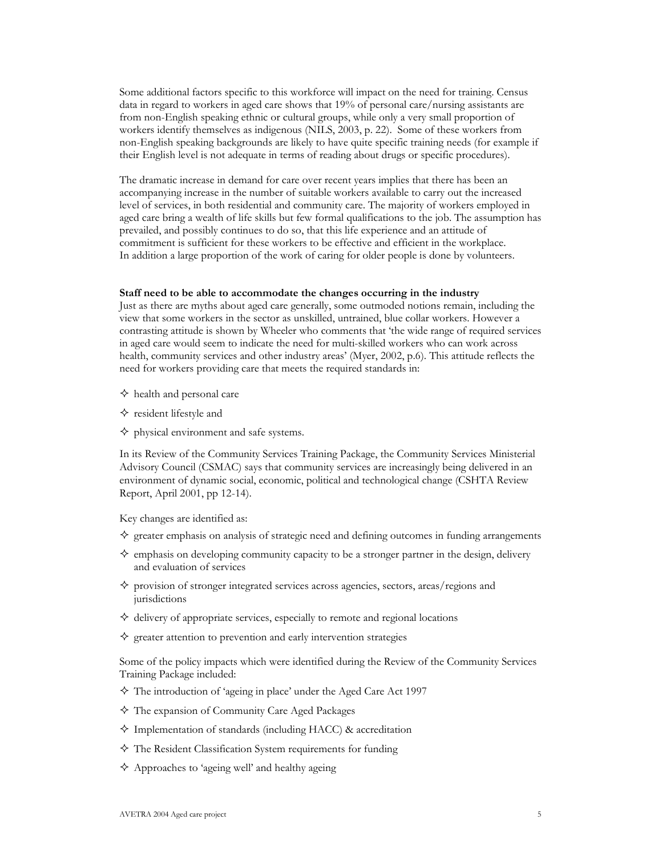Some additional factors specific to this workforce will impact on the need for training. Census data in regard to workers in aged care shows that 19% of personal care/nursing assistants are from non-English speaking ethnic or cultural groups, while only a very small proportion of workers identify themselves as indigenous (NILS, 2003, p. 22). Some of these workers from non-English speaking backgrounds are likely to have quite specific training needs (for example if their English level is not adequate in terms of reading about drugs or specific procedures).

The dramatic increase in demand for care over recent years implies that there has been an accompanying increase in the number of suitable workers available to carry out the increased level of services, in both residential and community care. The majority of workers employed in aged care bring a wealth of life skills but few formal qualifications to the job. The assumption has prevailed, and possibly continues to do so, that this life experience and an attitude of commitment is sufficient for these workers to be effective and efficient in the workplace. In addition a large proportion of the work of caring for older people is done by volunteers.

#### Staff need to be able to accommodate the changes occurring in the industry

Just as there are myths about aged care generally, some outmoded notions remain, including the view that some workers in the sector as unskilled, untrained, blue collar workers. However a contrasting attitude is shown by Wheeler who comments that 'the wide range of required services in aged care would seem to indicate the need for multi-skilled workers who can work across health, community services and other industry areas' (Myer, 2002, p.6). This attitude reflects the need for workers providing care that meets the required standards in:

- $\diamond$  health and personal care
- $\diamond$  resident lifestyle and
- $\diamond$  physical environment and safe systems.

In its Review of the Community Services Training Package, the Community Services Ministerial Advisory Council (CSMAC) says that community services are increasingly being delivered in an environment of dynamic social, economic, political and technological change (CSHTA Review Report, April 2001, pp 12-14).

Key changes are identified as:

- $\diamondsuit$  greater emphasis on analysis of strategic need and defining outcomes in funding arrangements
- $\diamondsuit$  emphasis on developing community capacity to be a stronger partner in the design, delivery and evaluation of services
- $\diamond$  provision of stronger integrated services across agencies, sectors, areas/regions and jurisdictions
- $\diamond$  delivery of appropriate services, especially to remote and regional locations
- $\diamondsuit$  greater attention to prevention and early intervention strategies

Some of the policy impacts which were identified during the Review of the Community Services Training Package included:

- $\Diamond$  The introduction of 'ageing in place' under the Aged Care Act 1997
- $\Diamond$  The expansion of Community Care Aged Packages
- $\Diamond$  Implementation of standards (including HACC) & accreditation
- $\diamond$  The Resident Classification System requirements for funding
- $\Diamond$  Approaches to 'ageing well' and healthy ageing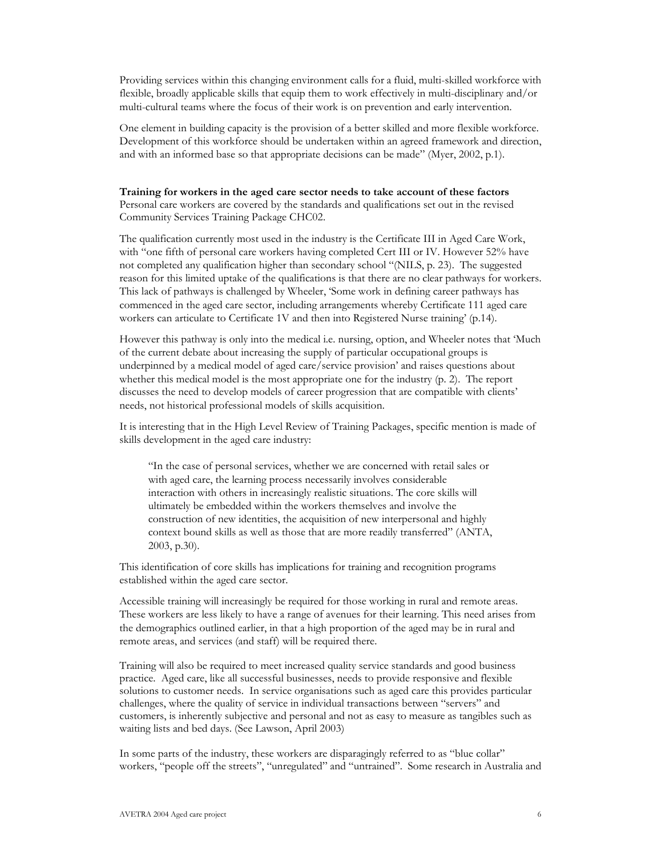Providing services within this changing environment calls for a fluid, multi-skilled workforce with flexible, broadly applicable skills that equip them to work effectively in multi-disciplinary and/or multi-cultural teams where the focus of their work is on prevention and early intervention.

One element in building capacity is the provision of a better skilled and more flexible workforce. Development of this workforce should be undertaken within an agreed framework and direction, and with an informed base so that appropriate decisions can be made" (Myer, 2002, p.1).

Training for workers in the aged care sector needs to take account of these factors Personal care workers are covered by the standards and qualifications set out in the revised Community Services Training Package CHC02.

The qualification currently most used in the industry is the Certificate III in Aged Care Work, with "one fifth of personal care workers having completed Cert III or IV. However 52% have not completed any qualification higher than secondary school "(NILS, p. 23). The suggested reason for this limited uptake of the qualifications is that there are no clear pathways for workers. This lack of pathways is challenged by Wheeler, 'Some work in defining career pathways has commenced in the aged care sector, including arrangements whereby Certificate 111 aged care workers can articulate to Certificate 1V and then into Registered Nurse training' (p.14).

However this pathway is only into the medical i.e. nursing, option, and Wheeler notes that 'Much of the current debate about increasing the supply of particular occupational groups is underpinned by a medical model of aged care/service provision' and raises questions about whether this medical model is the most appropriate one for the industry  $(p, 2)$ . The report discusses the need to develop models of career progression that are compatible with clients' needs, not historical professional models of skills acquisition.

It is interesting that in the High Level Review of Training Packages, specific mention is made of skills development in the aged care industry:

"In the case of personal services, whether we are concerned with retail sales or with aged care, the learning process necessarily involves considerable interaction with others in increasingly realistic situations. The core skills will ultimately be embedded within the workers themselves and involve the construction of new identities, the acquisition of new interpersonal and highly context bound skills as well as those that are more readily transferred" (ANTA, 2003, p.30).

This identification of core skills has implications for training and recognition programs established within the aged care sector.

Accessible training will increasingly be required for those working in rural and remote areas. These workers are less likely to have a range of avenues for their learning. This need arises from the demographics outlined earlier, in that a high proportion of the aged may be in rural and remote areas, and services (and staff) will be required there.

Training will also be required to meet increased quality service standards and good business practice. Aged care, like all successful businesses, needs to provide responsive and flexible solutions to customer needs. In service organisations such as aged care this provides particular challenges, where the quality of service in individual transactions between "servers" and customers, is inherently subjective and personal and not as easy to measure as tangibles such as waiting lists and bed days. (See Lawson, April 2003)

In some parts of the industry, these workers are disparagingly referred to as "blue collar" workers, "people off the streets", "unregulated" and "untrained". Some research in Australia and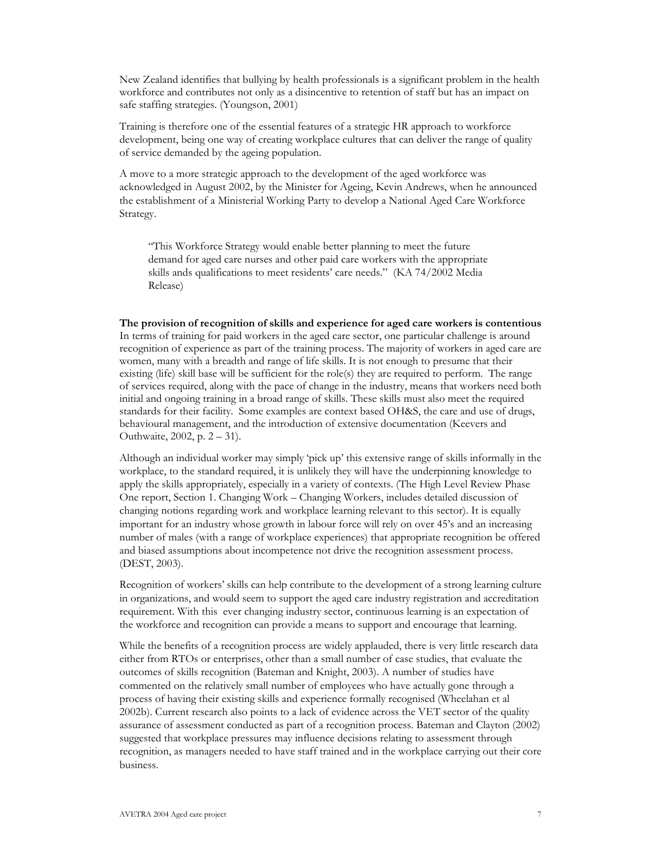New Zealand identifies that bullying by health professionals is a significant problem in the health workforce and contributes not only as a disincentive to retention of staff but has an impact on safe staffing strategies. (Youngson, 2001)

Training is therefore one of the essential features of a strategic HR approach to workforce development, being one way of creating workplace cultures that can deliver the range of quality of service demanded by the ageing population.

A move to a more strategic approach to the development of the aged workforce was acknowledged in August 2002, by the Minister for Ageing, Kevin Andrews, when he announced the establishment of a Ministerial Working Party to develop a National Aged Care Workforce Strategy.

"This Workforce Strategy would enable better planning to meet the future demand for aged care nurses and other paid care workers with the appropriate skills ands qualifications to meet residents' care needs." (KA 74/2002 Media Release)

The provision of recognition of skills and experience for aged care workers is contentious In terms of training for paid workers in the aged care sector, one particular challenge is around recognition of experience as part of the training process. The majority of workers in aged care are women, many with a breadth and range of life skills. It is not enough to presume that their existing (life) skill base will be sufficient for the role(s) they are required to perform. The range of services required, along with the pace of change in the industry, means that workers need both initial and ongoing training in a broad range of skills. These skills must also meet the required standards for their facility. Some examples are context based OH&S, the care and use of drugs, behavioural management, and the introduction of extensive documentation (Keevers and Outhwaite, 2002, p. 2 – 31).

Although an individual worker may simply 'pick up' this extensive range of skills informally in the workplace, to the standard required, it is unlikely they will have the underpinning knowledge to apply the skills appropriately, especially in a variety of contexts. (The High Level Review Phase One report, Section 1. Changing Work - Changing Workers, includes detailed discussion of changing notions regarding work and workplace learning relevant to this sector). It is equally important for an industry whose growth in labour force will rely on over 45's and an increasing number of males (with a range of workplace experiences) that appropriate recognition be offered and biased assumptions about incompetence not drive the recognition assessment process. (DEST, 2003).

Recognition of workers' skills can help contribute to the development of a strong learning culture in organizations, and would seem to support the aged care industry registration and accreditation requirement. With this ever changing industry sector, continuous learning is an expectation of the workforce and recognition can provide a means to support and encourage that learning.

While the benefits of a recognition process are widely applauded, there is very little research data either from RTOs or enterprises, other than a small number of case studies, that evaluate the outcomes of skills recognition (Bateman and Knight, 2003). A number of studies have commented on the relatively small number of employees who have actually gone through a process of having their existing skills and experience formally recognised (Wheelahan et al 2002b). Current research also points to a lack of evidence across the VET sector of the quality assurance of assessment conducted as part of a recognition process. Bateman and Clayton (2002) suggested that workplace pressures may influence decisions relating to assessment through recognition, as managers needed to have staff trained and in the workplace carrying out their core business.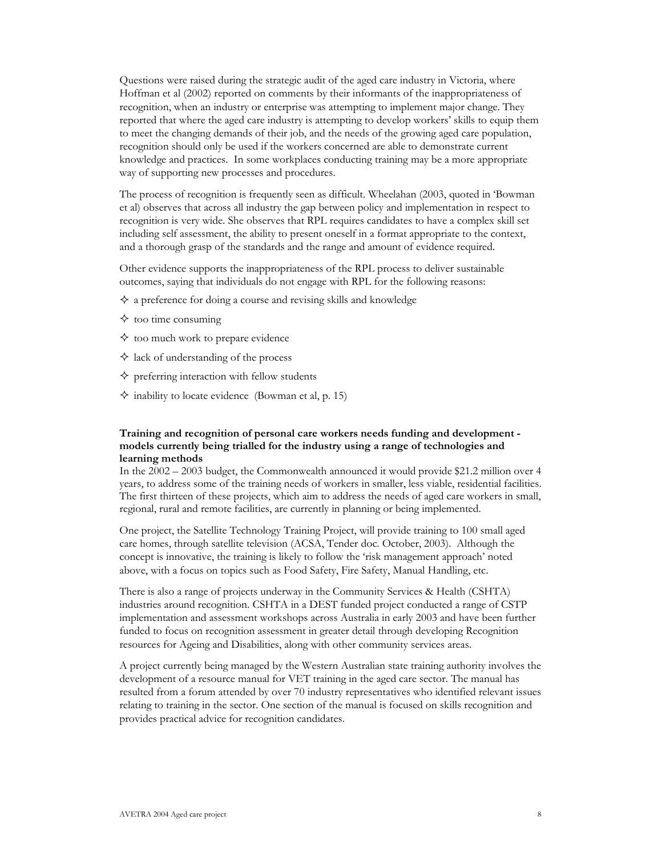Questions were raised during the strategic audit of the aged care industry in Victoria, where Hoffman et al (2002) reported on comments by their informants of the inappropriateness of recognition, when an industry or enterprise was attempting to implement major change. They reported that where the aged care industry is attempting to develop workers' skills to equip them to meet the changing demands of their job, and the needs of the growing aged care population, recognition should only be used if the workers concerned are able to demonstrate current knowledge and practices. In some workplaces conducting training may be a more appropriate way of supporting new processes and procedures.

The process of recognition is frequently seen as difficult. Wheelahan (2003, quoted in 'Bowman' et al) observes that across all industry the gap between policy and implementation in respect to recognition is very wide. She observes that RPL requires candidates to have a complex skill set including self assessment, the ability to present oneself in a format appropriate to the context, and a thorough grasp of the standards and the range and amount of evidence required.

Other evidence supports the inappropriateness of the RPL process to deliver sustainable outcomes, saying that individuals do not engage with RPL for the following reasons:

- $\Diamond$  a preference for doing a course and revising skills and knowledge
- $\diamond$  too time consuming
- $\diamond$  too much work to prepare evidence
- $\Diamond$  lack of understanding of the process
- $\diamond$  preferring interaction with fellow students
- $\Diamond$  inability to locate evidence (Bowman et al, p. 15)

# Training and recognition of personal care workers needs funding and development models currently being trialled for the industry using a range of technologies and learning methods

In the  $2002 - 2003$  budget, the Commonwealth announced it would provide \$21.2 million over 4 years, to address some of the training needs of workers in smaller, less viable, residential facilities. The first thirteen of these projects, which aim to address the needs of aged care workers in small, regional, rural and remote facilities, are currently in planning or being implemented.

One project, the Satellite Technology Training Project, will provide training to 100 small aged care homes, through satellite television (ACSA, Tender doc. October, 2003). Although the concept is innovative, the training is likely to follow the 'risk management approach' noted above, with a focus on topics such as Food Safety, Fire Safety, Manual Handling, etc.

There is also a range of projects underway in the Community Services & Health (CSHTA) industries around recognition. CSHTA in a DEST funded project conducted a range of CSTP implementation and assessment workshops across Australia in early 2003 and have been further funded to focus on recognition assessment in greater detail through developing Recognition resources for Ageing and Disabilities, along with other community services areas.

A project currently being managed by the Western Australian state training authority involves the development of a resource manual for VET training in the aged care sector. The manual has resulted from a forum attended by over 70 industry representatives who identified relevant issues relating to training in the sector. One section of the manual is focused on skills recognition and provides practical advice for recognition candidates.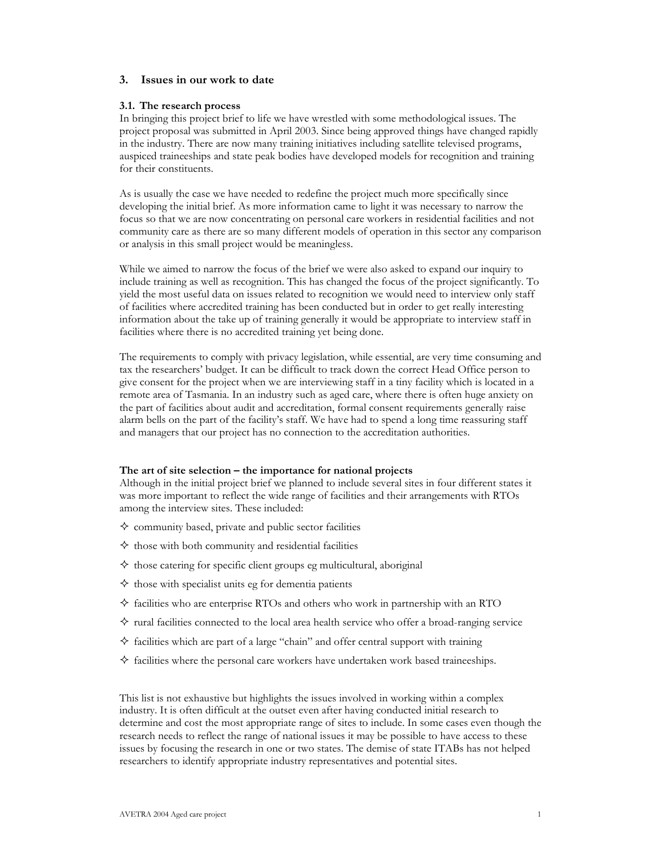# 3. Issues in our work to date

#### 3.1. The research process

In bringing this project brief to life we have wrestled with some methodological issues. The project proposal was submitted in April 2003. Since being approved things have changed rapidly in the industry. There are now many training initiatives including satellite televised programs, auspiced traineeships and state peak bodies have developed models for recognition and training for their constituents.

As is usually the case we have needed to redefine the project much more specifically since developing the initial brief. As more information came to light it was necessary to narrow the focus so that we are now concentrating on personal care workers in residential facilities and not community care as there are so many different models of operation in this sector any comparison or analysis in this small project would be meaningless.

While we aimed to narrow the focus of the brief we were also asked to expand our inquiry to include training as well as recognition. This has changed the focus of the project significantly. To yield the most useful data on issues related to recognition we would need to interview only staff of facilities where accredited training has been conducted but in order to get really interesting information about the take up of training generally it would be appropriate to interview staff in facilities where there is no accredited training yet being done.

The requirements to comply with privacy legislation, while essential, are very time consuming and tax the researchers' budget. It can be difficult to track down the correct Head Office person to give consent for the project when we are interviewing staff in a tiny facility which is located in a remote area of Tasmania. In an industry such as aged care, where there is often huge anxiety on the part of facilities about audit and accreditation, formal consent requirements generally raise alarm bells on the part of the facility's staff. We have had to spend a long time reassuring staff and managers that our project has no connection to the accreditation authorities.

#### The art of site selection – the importance for national projects

Although in the initial project brief we planned to include several sites in four different states it was more important to reflect the wide range of facilities and their arrangements with RTOs among the interview sites. These included:

- $\diamond$  community based, private and public sector facilities
- $\diamond$  those with both community and residential facilities
- $\diamond$  those catering for specific client groups eg multicultural, aboriginal
- $\diamond$  those with specialist units eg for dementia patients
- $\Diamond$  facilities who are enterprise RTOs and others who work in partnership with an RTO
- $\Diamond$  rural facilities connected to the local area health service who offer a broad-ranging service
- $\diamond$  facilities which are part of a large "chain" and offer central support with training
- $\diamond$  facilities where the personal care workers have undertaken work based traineeships.

This list is not exhaustive but highlights the issues involved in working within a complex industry. It is often difficult at the outset even after having conducted initial research to determine and cost the most appropriate range of sites to include. In some cases even though the research needs to reflect the range of national issues it may be possible to have access to these issues by focusing the research in one or two states. The demise of state ITABs has not helped researchers to identify appropriate industry representatives and potential sites.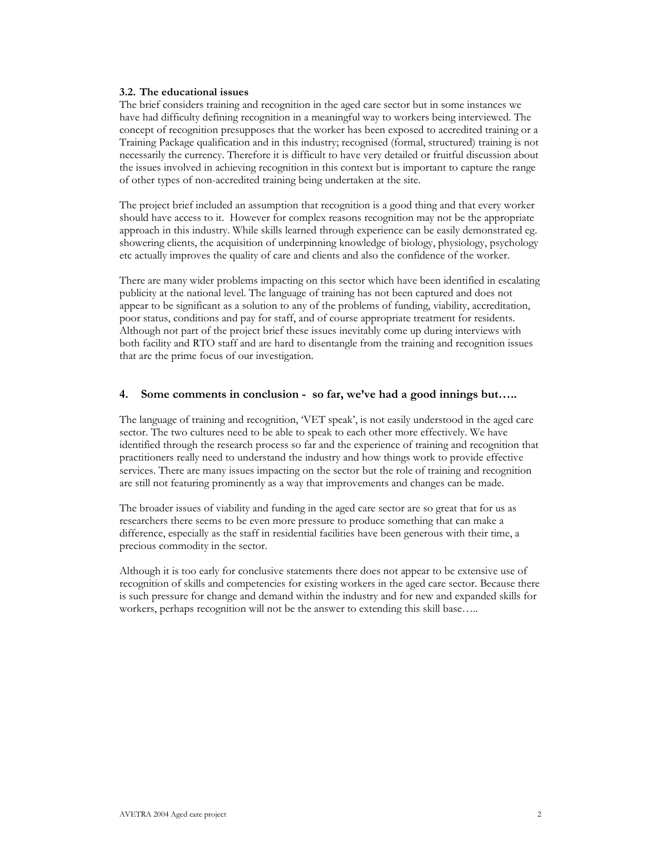#### 3.2. The educational issues

The brief considers training and recognition in the aged care sector but in some instances we have had difficulty defining recognition in a meaningful way to workers being interviewed. The concept of recognition presupposes that the worker has been exposed to accredited training or a Training Package qualification and in this industry; recognised (formal, structured) training is not necessarily the currency. Therefore it is difficult to have very detailed or fruitful discussion about the issues involved in achieving recognition in this context but is important to capture the range of other types of non-accredited training being undertaken at the site.

The project brief included an assumption that recognition is a good thing and that every worker should have access to it. However for complex reasons recognition may not be the appropriate approach in this industry. While skills learned through experience can be easily demonstrated eg. showering clients, the acquisition of underpinning knowledge of biology, physiology, psychology etc actually improves the quality of care and clients and also the confidence of the worker.

There are many wider problems impacting on this sector which have been identified in escalating publicity at the national level. The language of training has not been captured and does not appear to be significant as a solution to any of the problems of funding, viability, accreditation, poor status, conditions and pay for staff, and of course appropriate treatment for residents. Although not part of the project brief these issues inevitably come up during interviews with both facility and RTO staff and are hard to disentangle from the training and recognition issues that are the prime focus of our investigation.

# 4. Some comments in conclusion - so far, we've had a good innings but.....

The language of training and recognition, VET speak', is not easily understood in the aged care sector. The two cultures need to be able to speak to each other more effectively. We have identified through the research process so far and the experience of training and recognition that practitioners really need to understand the industry and how things work to provide effective services. There are many issues impacting on the sector but the role of training and recognition are still not featuring prominently as a way that improvements and changes can be made.

The broader issues of viability and funding in the aged care sector are so great that for us as researchers there seems to be even more pressure to produce something that can make a difference, especially as the staff in residential facilities have been generous with their time, a precious commodity in the sector.

Although it is too early for conclusive statements there does not appear to be extensive use of recognition of skills and competencies for existing workers in the aged care sector. Because there is such pressure for change and demand within the industry and for new and expanded skills for workers, perhaps recognition will not be the answer to extending this skill base.....